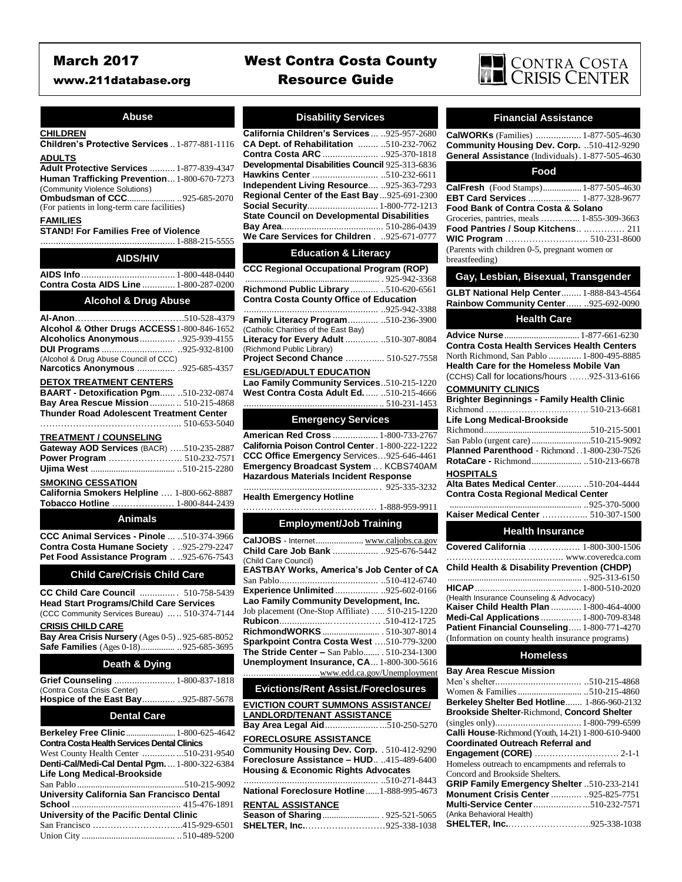## **Abuse**

## **CHILDREN**

**Children's Protective Services** .. 1-877-881-1116 **ADULTS**

**Adult Protective Services** .......... 1-877-839-4347 **Human Trafficking Prevention**... 1-800-670-7273

(Community Violence Solutions) **Ombudsman of CCC**..................... ..925-685-2070

(For patients in long-term care facilities)

## **FAMILIES**

**STAND! For Families Free of Violence** ..................................................... 1-888-215-5555

| <b>AIDS/HIV</b>                               |  |
|-----------------------------------------------|--|
|                                               |  |
| <b>Contra Costa AIDS Line  1-800-287-0200</b> |  |
|                                               |  |

## **Alcohol & Drug Abuse**

**Al-Anon**……………………………….510-528-4379 **Alcohol & Other Drugs ACCESS**1-800-846-1652 **Alcoholics Anonymous**.............. ..925-939-4155 **DUI Programs** ............................ ..925-932-8100 (Alcohol & Drug Abuse Council of CCC) **Narcotics Anonymous** ............... ..925-685-4357

#### **DETOX TREATMENT CENTERS**

| <b>BAART - Detoxification Pgm 510-232-0874</b> |  |
|------------------------------------------------|--|
| Bay Area Rescue Mission  510-215-4868          |  |
| Thunder Road Adolescent Treatment Center       |  |
|                                                |  |

#### **TREATMENT / COUNSELING**

| Gateway AOD Services (BACR) 510-235-2887 |  |
|------------------------------------------|--|
|                                          |  |
|                                          |  |
|                                          |  |

### **SMOKING CESSATION**

| California Smokers Helpline  1-800-662-8887 |  |
|---------------------------------------------|--|
| <b>Tobacco Hotline</b> 1-800-844-2439       |  |

## **Animals**

**CCC Animal Services - Pinole** ... ..510-374-3966 **Contra Costa Humane Society** . ..925-279-2247 **Pet Food Assistance Program** .. ..925-676-7543

## **Child Care/Crisis Child Care**

**CC Child Care Council** .............. . 510-758-5439 **Head Start Programs/Child Care Services** (CCC Community Services Bureau) ... .. 510-374-7144

#### **CRISIS CHILD CARE**

**Bay Area Crisis Nursery** (Ages 0-5) ..925-685-8052 **Safe Families** (Ages 0-18)............... ..925-685-3695

## **Death & Dying**

| Grief Counseling  1-800-837-1818                   |             |
|----------------------------------------------------|-------------|
| (Contra Costa Crisis Center)                       |             |
| <b>Hospice of the East Bay</b> 925-887-5678        |             |
| <b>Dental Care</b>                                 |             |
| Berkeley Free Clinic  1-800-625-4642               |             |
| <b>Contra Costa Health Services Dental Clinics</b> |             |
| West County Health Center 510-231-9540             |             |
| <b>Denti-Cal/Medi-Cal Dental Pgm1-800-322-6384</b> |             |
| Life Long Medical-Brookside                        |             |
|                                                    |             |
| University California San Francisco Dental         |             |
|                                                    |             |
| University of the Pacific Dental Clinic            |             |
| $\alpha$ $\mathbf{r}$ $\cdot$ $\cdot$              | 117.0007701 |

| University of the Pacific Dental Gilnic |  |
|-----------------------------------------|--|
|                                         |  |
|                                         |  |

# March 2017 West Contra Costa County www.211database.org Resource Guide



## **Disability Services**

| California Children's Services  925-957-2680        |  |  |
|-----------------------------------------------------|--|--|
| CA Dept. of Rehabilitation  510-232-7062            |  |  |
| Contra Costa ARC  925-370-1818                      |  |  |
| Developmental Disabilities Council 925-313-6836     |  |  |
| Hawkins Center 510-232-6611                         |  |  |
| Independent Living Resource 925-363-7293            |  |  |
| Regional Center of the East Bay925-691-2300         |  |  |
| Social Security 1-800-772-1213                      |  |  |
| <b>State Council on Developmental Disabilities</b>  |  |  |
|                                                     |  |  |
| We Care Services for Children.925-671-0777          |  |  |
| <b>Education &amp; Literacy</b>                     |  |  |
| <b>CCC Regional Occupational Program (ROP)</b>      |  |  |
|                                                     |  |  |
| Richmond Public Library  510-620-6561               |  |  |
| <b>Contra Costa County Office of Education</b>      |  |  |
|                                                     |  |  |
| Family Literacy Program 510-236-3900                |  |  |
| $(On the line On\sigma with an left line Each\ D.)$ |  |  |

(Catholic Charities of the East Bay) **Literacy for Every Adult** ............. ..510-307-8084 (Richmond Public Library) **Project Second Chance** ………..... 510-527-7558  **ESL/GED/ADULT EDUCATION Jao Family Community Services**...510-215-1220

| <b>Lao Family Community Services</b> 310-213-1220 |  |
|---------------------------------------------------|--|
| West Contra Costa Adult Ed 510-215-4666           |  |
|                                                   |  |

## **Emergency Services**

**American Red Cross** .................. 1-800-733-2767 **California Poison Control Center**. 1-800-222-1222 **CCC Office Emergency** Services…925-646-4461 **Emergency Broadcast System** .. . KCBS740AM **Hazardous Materials Incident Response**

### ..................................................... . 925-335-3232 **Health Emergency Hotline**

……………………………………… 1-888-959-9911

## **Employment/Job Training**

| CalJOBS - Internet www.caljobs.ca.gov            |
|--------------------------------------------------|
| Child Care Job Bank  925-676-5442                |
|                                                  |
| <b>EASTBAY Works, America's Job Center of CA</b> |
|                                                  |
| Experience Unlimited925-602-0166                 |
| Lao Family Community Development, Inc.           |
| Job placement (One-Stop Affiliate)  510-215-1220 |
|                                                  |
|                                                  |
| Sparkpoint Contra Costa West 510-779-3200        |
| The Stride Center - San Pablo . 510-234-1300     |
| Unemployment Insurance, CA 1-800-300-5616        |
| <u>www.edd.ca.gov/Unemployment</u>               |
|                                                  |

## **Evictions/Rent Assist./Foreclosures**

| <b>EVICTION COURT SUMMONS ASSISTANCE/</b>      |  |
|------------------------------------------------|--|
| <b>LANDLORD/TENANT ASSISTANCE</b>              |  |
| Bay Area Legal Aid510-250-5270                 |  |
| <b>FORECLOSURE ASSISTANCE</b>                  |  |
| Community Housing Dev. Corp. . 510-412-9290    |  |
| Foreclosure Assistance - HUD415-489-6400       |  |
| <b>Housing &amp; Economic Rights Advocates</b> |  |
|                                                |  |
| National Foreclosure Hotline1-888-995-4673     |  |
| <b>RENTAL ASSISTANCE</b>                       |  |
|                                                |  |
| SHELTER, Inc925-338-1038                       |  |
|                                                |  |

## **Financial Assistance**

**CalWORKs** (Families) .................. 1-877-505-4630 **Community Housing Dev. Corp.** ..510-412-9290 **General Assistance** (Individuals). 1-877-505-4630

#### **Food**

| <b>CalFresh</b> (Food Stamps) 1-877-505-4630  |  |
|-----------------------------------------------|--|
| EBT Card Services  1-877-328-9677             |  |
| Food Bank of Contra Costa & Solano            |  |
| Groceries, pantries, meals  1-855-309-3663    |  |
| Food Pantries / Soup Kitchens  211            |  |
| <b>WIC Program</b> 510-231-8600               |  |
| (Parents with children 0-5, pregnant women or |  |
| breastfeeding)                                |  |
|                                               |  |

## **Gay, Lesbian, Bisexual, Transgender**

**GLBT National Help Center**........ 1-888-843-4564 **Rainbow Community Center**...... ..925-692-0090

## **Health Care**

| Advice Nurse  1-877-661-6230                 |  |
|----------------------------------------------|--|
| Contra Costa Health Services Health Centers  |  |
| North Richmond, San Pablo  1-800-495-8885    |  |
| Health Care for the Homeless Mobile Van      |  |
| (CCHS) Call for locations/hours 925-313-6166 |  |
| COMMUNITY OF BUOC                            |  |

# **COMMUNITY CLINICS**

| <b>Brighter Beginnings - Family Health Clinic</b>      |  |  |
|--------------------------------------------------------|--|--|
|                                                        |  |  |
| Life Long Medical-Brookside                            |  |  |
|                                                        |  |  |
|                                                        |  |  |
| Planned Parenthood - Richmond 1-800-230-7526           |  |  |
|                                                        |  |  |
| HOSPITALS                                              |  |  |
| <b>Alta Bates Medical Center 510-204-4444</b>          |  |  |
| <b>Contra Costa Regional Medical Center</b>            |  |  |
|                                                        |  |  |
| Kaiser Medical Center  510-307-1500                    |  |  |
| <b>Health Insurance</b>                                |  |  |
| Covered California  1-800-300-1506                     |  |  |
| www.coveredca.com                                      |  |  |
| <b>Child Health &amp; Disability Prevention (CHDP)</b> |  |  |
|                                                        |  |  |
|                                                        |  |  |
| (Health Insurance Counseling & Advocacy)               |  |  |
| <b>Kaiser Child Health Plan  1-800-464-4000</b>        |  |  |
| Medi-Cal Applications  1-800-709-8348                  |  |  |

**Patient Financial Counseling**..... 1-800-771-4270 (Information on county health insurance programs)

## **Homeless**

| <b>Bay Area Rescue Mission</b>                            |
|-----------------------------------------------------------|
|                                                           |
|                                                           |
| Berkeley Shelter Bed Hotline 1-866-960-2132               |
| <b>Brookside Shelter-Richmond, Concord Shelter</b>        |
|                                                           |
| <b>Calli House-Richmond (Youth, 14-21) 1-800-610-9400</b> |
| <b>Coordinated Outreach Referral and</b>                  |
| Engagement (CORE)  2-1-1                                  |
| Homeless outreach to encampments and referrals to         |
| Concord and Brookside Shelters.                           |
| GRIP Family Emergency Shelter 510-233-2141                |
| <b>Monument Crisis Center  925-825-7751</b>               |
| Multi-Service Center510-232-7571                          |
| (Anka Behavioral Health)                                  |
| SHELTER, Inc925-338-1038                                  |